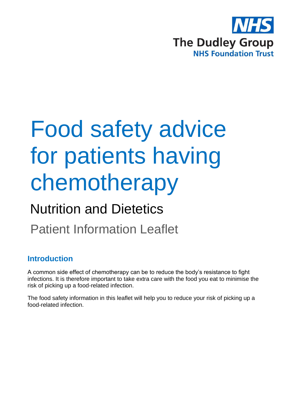

# Food safety advice for patients having chemotherapy

# Nutrition and Dietetics

Patient Information Leaflet

### **Introduction**

A common side effect of chemotherapy can be to reduce the body's resistance to fight infections. It is therefore important to take extra care with the food you eat to minimise the risk of picking up a food-related infection.

The food safety information in this leaflet will help you to reduce your risk of picking up a food-related infection.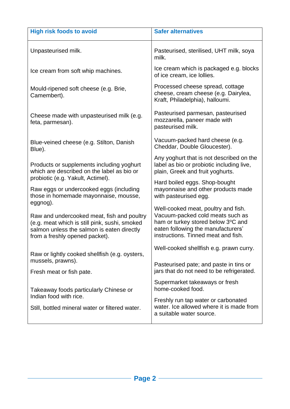| <b>High risk foods to avoid</b>                                                                                                                                             | <b>Safer alternatives</b>                                                                                                                                                                  |
|-----------------------------------------------------------------------------------------------------------------------------------------------------------------------------|--------------------------------------------------------------------------------------------------------------------------------------------------------------------------------------------|
| Unpasteurised milk.                                                                                                                                                         | Pasteurised, sterilised, UHT milk, soya<br>milk.                                                                                                                                           |
| Ice cream from soft whip machines.                                                                                                                                          | Ice cream which is packaged e.g. blocks<br>of ice cream, ice lollies.                                                                                                                      |
| Mould-ripened soft cheese (e.g. Brie,<br>Camembert).                                                                                                                        | Processed cheese spread, cottage<br>cheese, cream cheese (e.g. Dairylea,<br>Kraft, Philadelphia), halloumi.                                                                                |
| Cheese made with unpasteurised milk (e.g.<br>feta, parmesan).                                                                                                               | Pasteurised parmesan, pasteurised<br>mozzarella, paneer made with<br>pasteurised milk.                                                                                                     |
| Blue-veined cheese (e.g. Stilton, Danish<br>Blue).                                                                                                                          | Vacuum-packed hard cheese (e.g.<br>Cheddar, Double Gloucester).                                                                                                                            |
| Products or supplements including yoghurt<br>which are described on the label as bio or<br>probiotic (e.g. Yakult, Actimel).                                                | Any yoghurt that is not described on the<br>label as bio or probiotic including live,<br>plain, Greek and fruit yoghurts.                                                                  |
| Raw eggs or undercooked eggs (including<br>those in homemade mayonnaise, mousse,<br>eggnog).                                                                                | Hard boiled eggs. Shop-bought<br>mayonnaise and other products made<br>with pasteurised egg.                                                                                               |
| Raw and undercooked meat, fish and poultry<br>(e.g. meat which is still pink, sushi, smoked<br>salmon unless the salmon is eaten directly<br>from a freshly opened packet). | Well-cooked meat, poultry and fish.<br>Vacuum-packed cold meats such as<br>ham or turkey stored below 3°C and<br>eaten following the manufacturers'<br>instructions. Tinned meat and fish. |
| Raw or lightly cooked shellfish (e.g. oysters,<br>mussels, prawns).<br>Fresh meat or fish pate.                                                                             | Well-cooked shellfish e.g. prawn curry.<br>Pasteurised pate; and paste in tins or<br>jars that do not need to be refrigerated.                                                             |
| Takeaway foods particularly Chinese or<br>Indian food with rice.<br>Still, bottled mineral water or filtered water.                                                         | Supermarket takeaways or fresh<br>home-cooked food.<br>Freshly run tap water or carbonated<br>water. Ice allowed where it is made from<br>a suitable water source.                         |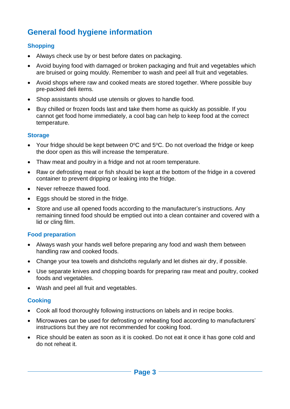## **General food hygiene information**

#### **Shopping**

- Always check use by or best before dates on packaging.
- Avoid buying food with damaged or broken packaging and fruit and vegetables which are bruised or going mouldy. Remember to wash and peel all fruit and vegetables.
- Avoid shops where raw and cooked meats are stored together. Where possible buy pre-packed deli items.
- Shop assistants should use utensils or gloves to handle food.
- Buy chilled or frozen foods last and take them home as quickly as possible. If you cannot get food home immediately, a cool bag can help to keep food at the correct temperature.

#### **Storage**

- Your fridge should be kept between  $0^{\circ}$ C and  $5^{\circ}$ C. Do not overload the fridge or keep the door open as this will increase the temperature.
- Thaw meat and poultry in a fridge and not at room temperature.
- Raw or defrosting meat or fish should be kept at the bottom of the fridge in a covered container to prevent dripping or leaking into the fridge.
- Never refreeze thawed food.
- Eggs should be stored in the fridge.
- Store and use all opened foods according to the manufacturer's instructions. Any remaining tinned food should be emptied out into a clean container and covered with a lid or cling film.

#### **Food preparation**

- Always wash your hands well before preparing any food and wash them between handling raw and cooked foods.
- Change your tea towels and dishcloths regularly and let dishes air dry, if possible.
- Use separate knives and chopping boards for preparing raw meat and poultry, cooked foods and vegetables.
- Wash and peel all fruit and vegetables.

#### **Cooking**

- Cook all food thoroughly following instructions on labels and in recipe books.
- Microwaves can be used for defrosting or reheating food according to manufacturers' instructions but they are not recommended for cooking food.
- Rice should be eaten as soon as it is cooked. Do not eat it once it has gone cold and do not reheat it.